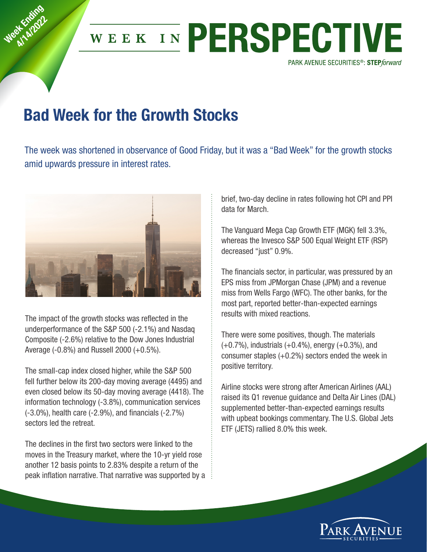

## Bad Week for the Growth Stocks

Week Knding at Employee

> The week was shortened in observance of Good Friday, but it was a "Bad Week" for the growth stocks amid upwards pressure in interest rates.



The impact of the growth stocks was reflected in the underperformance of the S&P 500 (‐2.1%) and Nasdaq Composite (‐2.6%) relative to the Dow Jones Industrial Average (‐0.8%) and Russell 2000 (+0.5%).

The small-cap index closed higher, while the S&P 500 fell further below its 200‐day moving average (4495) and even closed below its 50‐day moving average (4418). The information technology (‐3.8%), communication services (‐3.0%), health care (‐2.9%), and financials (‐2.7%) sectors led the retreat.

The declines in the first two sectors were linked to the moves in the Treasury market, where the 10‐yr yield rose another 12 basis points to 2.83% despite a return of the peak inflation narrative. That narrative was supported by a brief, two‐day decline in rates following hot CPI and PPI data for March.

The Vanguard Mega Cap Growth ETF (MGK) fell 3.3%, whereas the Invesco S&P 500 Equal Weight ETF (RSP) decreased "just" 0.9%.

The financials sector, in particular, was pressured by an EPS miss from JPMorgan Chase (JPM) and a revenue miss from Wells Fargo (WFC). The other banks, for the most part, reported better‐than‐expected earnings results with mixed reactions.

There were some positives, though. The materials (+0.7%), industrials (+0.4%), energy (+0.3%), and consumer staples  $(+0.2\%)$  sectors ended the week in positive territory.

Airline stocks were strong after American Airlines (AAL) raised its Q1 revenue guidance and Delta Air Lines (DAL) supplemented better-than-expected earnings results with upbeat bookings commentary. The U.S. Global Jets ETF (JETS) rallied 8.0% this week.